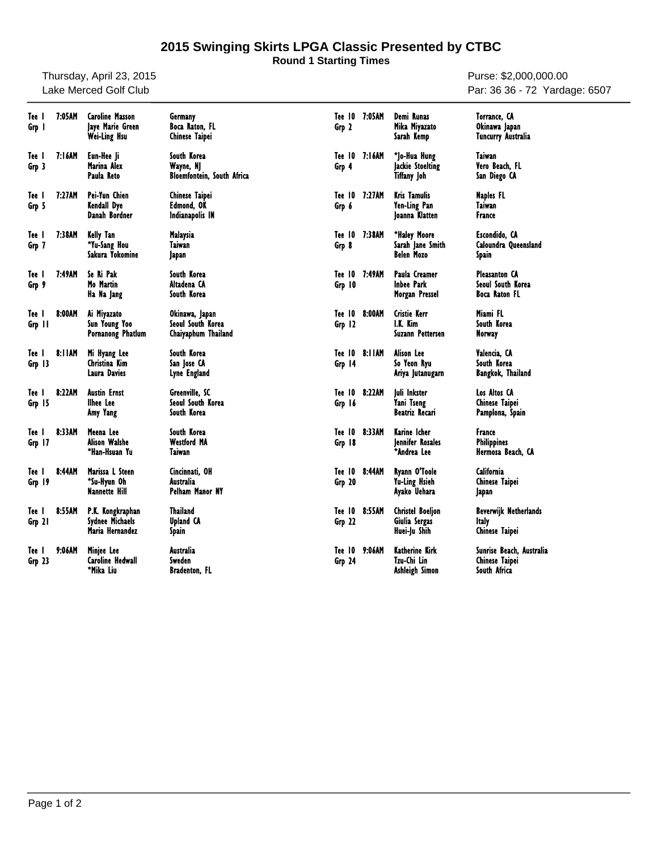## **2015 Swinging Skirts LPGA Classic Presented by CTBC**

**Round 1 Starting Times**

Thursday, April 23, 2015 Lake Merced Golf Club

Purse: \$2,000,000.00 Par: 36 36 - 72 Yardage: 6507

| Tee I<br>Grp 1  | 7:05AM | <b>Caroline Masson</b><br>laye Marie Green<br>Wei-Ling Hsu    | Germany<br>Boca Raton, FL<br>Chinese Taipei                   | Tee 10 7:05AM<br>Grp 2  |        | Demi Runas<br>Mika Miyazato<br>Sarah Kemp                | Torrance, CA<br>Okinawa Japan<br>Tuncurry Australia        |
|-----------------|--------|---------------------------------------------------------------|---------------------------------------------------------------|-------------------------|--------|----------------------------------------------------------|------------------------------------------------------------|
| Tee I<br>Grp 3  | 7:16AM | Eun-Hee li<br>Marina Alex<br>Paula Reto                       | South Korea<br>Wayne, NJ<br><b>Bloemfontein, South Africa</b> | Tee 10 7:16AM<br>Grp 4  |        | *Jo-Hua Hung<br><b>Jackie Stoelting</b><br>Tiffany Joh   | Taiwan<br>Vero Beach, FL<br>San Diego CA                   |
| Tee I<br>Grp 5  | 7:27AM | Pei-Yun Chien<br>Kendall Dye<br>Danah Bordner                 | Chinese Taipei<br>Edmond, OK<br>Indianapolis IN               | Tee 10<br>Grp 6         | 7:27AM | <b>Kris Tamulis</b><br>Yen-Ling Pan<br>Joanna Klatten    | Naples FL<br><b>Taiwan</b><br>France                       |
| Tee l<br>Grp 7  | 7:38AM | Kelly Tan<br>*Yu-Sang Hou<br>Sakura Yokomine                  | Malaysia<br>Taiwan<br>Japan                                   | Tee 10<br>Grp 8         | 7:38AM | *Haley Moore<br>Sarah Jane Smith<br><b>Belen Mozo</b>    | Escondido, CA<br>Caloundra Queensland<br>Spain             |
| Tee I<br>Grp 9  | 7:49AM | Se Ri Pak<br>Mo Martin<br>Ha Na Jang                          | South Korea<br>Altadena CA<br>South Korea                     | Tee 10<br>Grp 10        | 7:49AM | Paula Creamer<br><b>Inbee Park</b><br>Morgan Pressel     | <b>Pleasanton CA</b><br>Seoul South Korea<br>Boca Raton FL |
| Tee I<br>Grp 11 | 8:00AM | Ai Miyazato<br>Sun Young Yoo<br><b>Pornanong Phatlum</b>      | Okinawa, Japan<br>Seoul South Korea<br>Chaiyaphum Thailand    | Tee 10<br>Grp 12        | 8:00AM | <b>Cristie Kerr</b><br>I.K. Kim<br>Suzann Pettersen      | Miami FL<br>South Korea<br>Norway                          |
| Tee I<br>Grp 13 | 8:11AM | Mi Hyang Lee<br>Christina Kim<br>Laura Davies                 | South Korea<br>San Jose CA<br>Lyne England                    | Tee 10 8:11AM<br>Grp 14 |        | Alison Lee<br>So Yeon Ryu<br>Ariya Jutanugarn            | Valencia, CA<br>South Korea<br><b>Bangkok, Thailand</b>    |
| Tee I<br>Grp 15 | 8:22AM | Austin Ernst<br>llhee Lee<br>Amy Yang                         | Greenville, SC<br>Seoul South Korea<br>South Korea            | Tee 10 8:22AM<br>Grp 16 |        | Juli Inkster<br>Yani Tseng<br>Beatriz Recari             | Los Altos CA<br>Chinese Taipei<br>Pamplona, Spain          |
| Tee I<br>Grp 17 | 8:33AM | Meena Lee<br><b>Alison Walshe</b><br>*Han-Hsuan Yu            | South Korea<br><b>Westford MA</b><br>Taiwan                   | Tee 10 8:33AM<br>Grp 18 |        | Karine Icher<br>lennifer Rosales<br>*Andrea Lee          | France<br><b>Philippines</b><br>Hermosa Beach, CA          |
| Tee I<br>Grp 19 | 8:44AM | Marissa L Steen<br>*Su-Hyun Oh<br><b>Nannette Hill</b>        | Cincinnati, OH<br>Australia<br>Pelham Manor NY                | Tee 10<br>Grp 20        | 8:44AM | Ryann O'Toole<br>Yu-Ling Hsieh<br>Ayako Uehara           | California<br><b>Chinese Taipei</b><br>Japan               |
| Tee l<br>Grp 21 | 8:55AM | P.K. Kongkraphan<br><b>Sydnee Michaels</b><br>Maria Hernandez | Thailand<br><b>Upland CA</b><br>Spain                         | Tee 10<br>Grp 22        | 8:55AM | <b>Christel Boeljon</b><br>Giulia Sergas<br>Huei-Ju Shih | Beverwijk Netherlands<br><b>Italy</b><br>Chinese Taipei    |
| Tee I<br>Grp 23 | 9:06AM | Miniee Lee<br><b>Caroline Hedwall</b><br>*Mika Liu            | Australia<br>Sweden<br><b>Bradenton, FL</b>                   | Tee 10<br>Grp 24        | 9:06AM | Katherine Kirk<br>Tzu-Chi Lin<br>Ashleigh Simon          | Sunrise Beach, Australia<br>Chinese Taipei<br>South Africa |